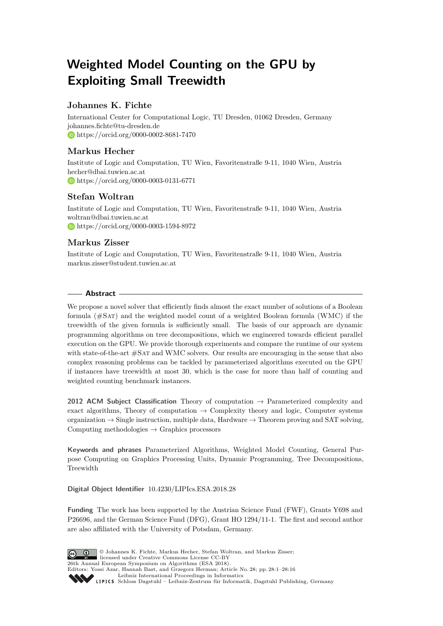# **Weighted Model Counting on the GPU by Exploiting Small Treewidth**

# **Johannes K. Fichte**

International Center for Computational Logic, TU Dresden, 01062 Dresden, Germany [johannes.fichte@tu-dresden.de](mailto:johannes.fichte@tu-dresden.de) <https://orcid.org/0000-0002-8681-7470>

# **Markus Hecher**

Institute of Logic and Computation, TU Wien, Favoritenstraße 9-11, 1040 Wien, Austria [hecher@dbai.tuwien.ac.at](mailto:hecher@dbai.tuwien.ac.at) <https://orcid.org/0000-0003-0131-6771>

# **Stefan Woltran**

Institute of Logic and Computation, TU Wien, Favoritenstraße 9-11, 1040 Wien, Austria [woltran@dbai.tuwien.ac.at](mailto:woltran@dbai.tuwien.ac.at) <https://orcid.org/0000-0003-1594-8972>

# **Markus Zisser**

Institute of Logic and Computation, TU Wien, Favoritenstraße 9-11, 1040 Wien, Austria [markus.zisser@student.tuwien.ac.at](mailto:markus.zisser@student.tuwien.ac.at)

# **Abstract**

We propose a novel solver that efficiently finds almost the exact number of solutions of a Boolean formula  $(\text{\#SAT})$  and the weighted model count of a weighted Boolean formula (WMC) if the treewidth of the given formula is sufficiently small. The basis of our approach are dynamic programming algorithms on tree decompositions, which we engineered towards efficient parallel execution on the GPU. We provide thorough experiments and compare the runtime of our system with state-of-the-art  $\#SAT$  and WMC solvers. Our results are encouraging in the sense that also complex reasoning problems can be tackled by parameterized algorithms executed on the GPU if instances have treewidth at most 30, which is the case for more than half of counting and weighted counting benchmark instances.

**2012 ACM Subject Classification** Theory of computation → Parameterized complexity and exact algorithms, Theory of computation  $\rightarrow$  Complexity theory and logic, Computer systems organization  $\rightarrow$  Single instruction, multiple data, Hardware  $\rightarrow$  Theorem proving and SAT solving, Computing methodologies  $\rightarrow$  Graphics processors

**Keywords and phrases** Parameterized Algorithms, Weighted Model Counting, General Purpose Computing on Graphics Processing Units, Dynamic Programming, Tree Decompositions, Treewidth

**Digital Object Identifier** [10.4230/LIPIcs.ESA.2018.28](http://dx.doi.org/10.4230/LIPIcs.ESA.2018.28)

**Funding** The work has been supported by the Austrian Science Fund (FWF), Grants Y698 and P26696, and the German Science Fund (DFG), Grant HO 1294/11-1. The first and second author are also affiliated with the University of Potsdam, Germany.



© Johannes K. Fichte, Markus Hecher, Stefan Woltran, and Markus Zisser;  $\boxed{6}$   $\boxed{0}$ licensed under Creative Commons License CC-BY 26th Annual European Symposium on Algorithms (ESA 2018). Editors: Yossi Azar, Hannah Bast, and Grzegorz Herman; Article No. 28; pp. 28:1–28[:16](#page-15-0) [Leibniz International Proceedings in Informatics](http://www.dagstuhl.de/lipics/) Leibniz international riverenings in missimonal Publishing, Germany<br>LIPICS [Schloss Dagstuhl – Leibniz-Zentrum für Informatik, Dagstuhl Publishing, Germany](http://www.dagstuhl.de)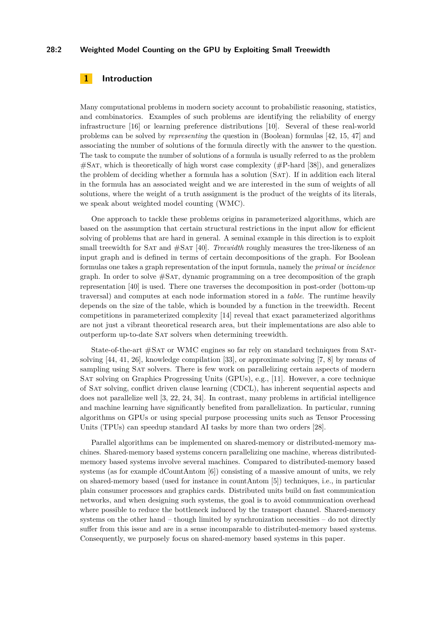#### **28:2 Weighted Model Counting on the GPU by Exploiting Small Treewidth**

# **1 Introduction**

Many computational problems in modern society account to probabilistic reasoning, statistics, and combinatorics. Examples of such problems are identifying the reliability of energy infrastructure [\[16\]](#page-13-0) or learning preference distributions [\[10\]](#page-12-0). Several of these real-world problems can be solved by *representing* the question in (Boolean) formulas [\[42,](#page-15-1) [15,](#page-13-1) [47\]](#page-15-2) and associating the number of solutions of the formula directly with the answer to the question. The task to compute the number of solutions of a formula is usually referred to as the problem  $#SAT$ , which is theoretically of high worst case complexity  $#P$ -hard [\[38\]](#page-15-3)), and generalizes the problem of deciding whether a formula has a solution (Sat). If in addition each literal in the formula has an associated weight and we are interested in the sum of weights of all solutions, where the weight of a truth assignment is the product of the weights of its literals, we speak about weighted model counting (WMC).

One approach to tackle these problems origins in parameterized algorithms, which are based on the assumption that certain structural restrictions in the input allow for efficient solving of problems that are hard in general. A seminal example in this direction is to exploit small treewidth for Sat and #Sat [\[40\]](#page-15-4). *Treewidth* roughly measures the tree-likeness of an input graph and is defined in terms of certain decompositions of the graph. For Boolean formulas one takes a graph representation of the input formula, namely the *primal* or *incidence* graph. In order to solve  $#SAT$ , dynamic programming on a tree decomposition of the graph representation [\[40\]](#page-15-4) is used. There one traverses the decomposition in post-order (bottom-up traversal) and computes at each node information stored in a *table*. The runtime heavily depends on the size of the table, which is bounded by a function in the treewidth. Recent competitions in parameterized complexity [\[14\]](#page-13-2) reveal that exact parameterized algorithms are not just a vibrant theoretical research area, but their implementations are also able to outperform up-to-date Sat solvers when determining treewidth.

State-of-the-art #Sat or WMC engines so far rely on standard techniques from Satsolving [\[44,](#page-15-5) [41,](#page-15-6) [26\]](#page-14-0), knowledge compilation [\[33\]](#page-14-1), or approximate solving [\[7,](#page-12-1) [8\]](#page-12-2) by means of sampling using SAT solvers. There is few work on parallelizing certain aspects of modern Sat solving on Graphics Progressing Units (GPUs), e.g., [\[11\]](#page-12-3). However, a core technique of Sat solving, conflict driven clause learning (CDCL), has inherent sequential aspects and does not parallelize well [\[3,](#page-12-4) [22,](#page-13-3) [24,](#page-13-4) [34\]](#page-14-2). In contrast, many problems in artificial intelligence and machine learning have significantly benefited from parallelization. In particular, running algorithms on GPUs or using special purpose processing units such as Tensor Processing Units (TPUs) can speedup standard AI tasks by more than two orders [\[28\]](#page-14-3).

Parallel algorithms can be implemented on shared-memory or distributed-memory machines. Shared-memory based systems concern parallelizing one machine, whereas distributedmemory based systems involve several machines. Compared to distributed-memory based systems (as for example dCountAntom [\[6\]](#page-12-5)) consisting of a massive amount of units, we rely on shared-memory based (used for instance in countAntom [\[5\]](#page-12-6)) techniques, i.e., in particular plain consumer processors and graphics cards. Distributed units build on fast communication networks, and when designing such systems, the goal is to avoid communication overhead where possible to reduce the bottleneck induced by the transport channel. Shared-memory systems on the other hand – though limited by synchronization necessities – do not directly suffer from this issue and are in a sense incomparable to distributed-memory based systems. Consequently, we purposely focus on shared-memory based systems in this paper.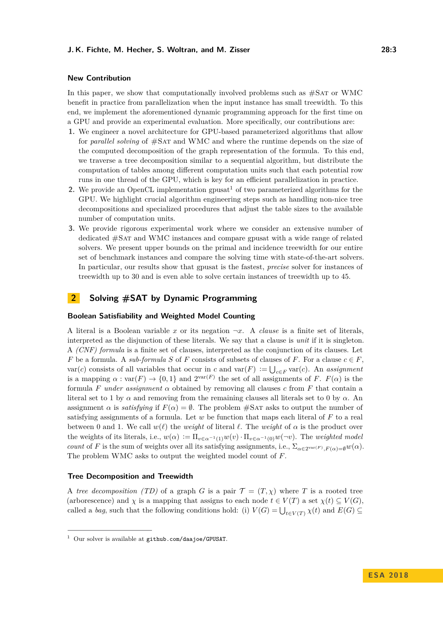# **New Contribution**

In this paper, we show that computationally involved problems such as  $\#SAT$  or WMC benefit in practice from parallelization when the input instance has small treewidth. To this end, we implement the aforementioned dynamic programming approach for the first time on a GPU and provide an experimental evaluation. More specifically, our contributions are:

- **1.** We engineer a novel architecture for GPU-based parameterized algorithms that allow for *parallel solving* of  $\#SAT$  and WMC and where the runtime depends on the size of the computed decomposition of the graph representation of the formula. To this end, we traverse a tree decomposition similar to a sequential algorithm, but distribute the computation of tables among different computation units such that each potential row runs in one thread of the GPU, which is key for an efficient parallelization in practice.
- **2.** We provide an OpenCL implementation gpusat<sup>[1](#page-2-0)</sup> of two parameterized algorithms for the GPU. We highlight crucial algorithm engineering steps such as handling non-nice tree decompositions and specialized procedures that adjust the table sizes to the available number of computation units.
- **3.** We provide rigorous experimental work where we consider an extensive number of dedicated #Sat and WMC instances and compare gpusat with a wide range of related solvers. We present upper bounds on the primal and incidence treewidth for our entire set of benchmark instances and compare the solving time with state-of-the-art solvers. In particular, our results show that gpusat is the fastest, *precise* solver for instances of treewidth up to 30 and is even able to solve certain instances of treewidth up to 45.

# **2 Solving #SAT by Dynamic Programming**

#### **Boolean Satisfiability and Weighted Model Counting**

A literal is a Boolean variable x or its negation  $\neg x$ . A *clause* is a finite set of literals, interpreted as the disjunction of these literals. We say that a clause is *unit* if it is singleton. A *(CNF) formula* is a finite set of clauses, interpreted as the conjunction of its clauses. Let *F* be a formula. A *sub-formula S* of *F* consists of subsets of clauses of *F*. For a clause  $c \in F$ , var(*c*) consists of all variables that occur in *c* and var(*F*)  $:= \bigcup_{c \in F} \text{var}(c)$ . An *assignment* is a mapping  $\alpha : \text{var}(F) \to \{0,1\}$  and  $2^{\text{var}(F)}$  the set of all assignments of *F*.  $F(\alpha)$  is the formula *F under* assignment  $\alpha$  obtained by removing all clauses c from *F* that contain a literal set to 1 by  $\alpha$  and removing from the remaining clauses all literals set to 0 by  $\alpha$ . An assignment  $\alpha$  is *satisfying* if  $F(\alpha) = \emptyset$ . The problem #SAT asks to output the number of satisfying assignments of a formula. Let *w* be function that maps each literal of *F* to a real between 0 and 1. We call  $w(\ell)$  the *weight* of literal  $\ell$ . The *weight* of  $\alpha$  is the product over the weights of its literals, i.e.,  $w(\alpha) := \Pi_{v \in \alpha^{-1}(1)} w(v) \cdot \Pi_{v \in \alpha^{-1}(0)} w(\neg v)$ . The *weighted model count* of *F* is the sum of weights over all its satisfying assignments, i.e.,  $\Sigma_{\alpha \in 2^{\text{var}(F)}$ ,  $F(\alpha) = \emptyset} w(\alpha)$ . The problem WMC asks to output the weighted model count of *F*.

#### **Tree Decomposition and Treewidth**

A *tree decomposition (TD)* of a graph *G* is a pair  $\mathcal{T} = (T, \chi)$  where *T* is a rooted tree (arborescence) and *χ* is a mapping that assigns to each node  $t \in V(T)$  a set  $\chi(t) \subseteq V(G)$ , called a *bag*, such that the following conditions hold: (i)  $V(G) = \bigcup_{t \in V(T)} \chi(t)$  and  $E(G) \subseteq$ 

<span id="page-2-0"></span> $1$  Our solver is available at [github.com/daajoe/GPUSAT](https://github.com/daajoe/GPUSAT/releases/tag/v0.815-pre).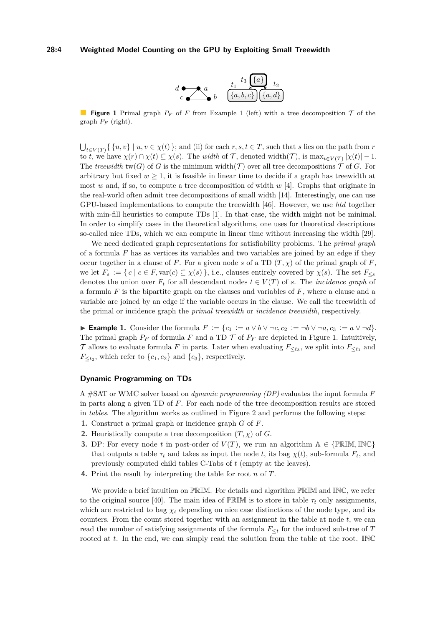#### <span id="page-3-1"></span>**28:4 Weighted Model Counting on the GPU by Exploiting Small Treewidth**



**Figure [1](#page-3-0)** Primal graph  $P_F$  of F from Example 1 (left) with a tree decomposition  $\mathcal T$  of the graph  $P_F$  (right).

 $\bigcup_{t \in V(T)} \{ \{u, v\} \mid u, v \in \chi(t) \}$ ; and (ii) for each  $r, s, t \in T$ , such that *s* lies on the path from *r* to *t*, we have  $\chi(r) \cap \chi(t) \subseteq \chi(s)$ . The *width* of  $\mathcal{T}$ , denoted width $(\mathcal{T})$ , is  $\max_{t \in V(T)} |\chi(t)| - 1$ . The *treewidth*  $\text{tw}(G)$  of *G* is the minimum width(*T*) over all tree decompositions *T* of *G*. For arbitrary but fixed  $w > 1$ , it is feasible in linear time to decide if a graph has treewidth at most *w* and, if so, to compute a tree decomposition of width *w* [\[4\]](#page-12-7). Graphs that originate in the real-world often admit tree decompositions of small width [\[14\]](#page-13-2). Interestingly, one can use GPU-based implementations to compute the treewidth [\[46\]](#page-15-7). However, we use *htd* together with min-fill heuristics to compute TDs [\[1\]](#page-12-8). In that case, the width might not be minimal. In order to simplify cases in the theoretical algorithms, one uses for theoretical descriptions so-called nice TDs, which we can compute in linear time without increasing the width [\[29\]](#page-14-4).

We need dedicated graph representations for satisfiability problems. The *primal graph* of a formula *F* has as vertices its variables and two variables are joined by an edge if they occur together in a clause of *F*. For a given node *s* of a TD  $(T, \chi)$  of the primal graph of *F*, we let  $F_s := \{ c \mid c \in F, \text{var}(c) \subseteq \chi(s) \}, \text{ i.e., clauses entirely covered by } \chi(s)$ . The set  $F_{\leq s}$ denotes the union over  $F_t$  for all descendant nodes  $t \in V(T)$  of *s*. The *incidence graph* of a formula *F* is the bipartite graph on the clauses and variables of *F*, where a clause and a variable are joined by an edge if the variable occurs in the clause. We call the treewidth of the primal or incidence graph the *primal treewidth* or *incidence treewidth*, respectively.

<span id="page-3-0"></span>**► Example 1.** Consider the formula  $F := \{c_1 := a \lor b \lor \neg c, c_2 := \neg b \lor \neg a, c_3 := a \lor \neg d\}.$ The primal graph  $P_F$  of formula *F* and a TD  $\mathcal T$  of  $P_F$  are depicted in Figure [1.](#page-3-1) Intuitively, T allows to evaluate formula F in parts. Later when evaluating  $F_{\leq t_3}$ , we split into  $F_{\leq t_1}$  and  $F_{\leq t_2}$ , which refer to  $\{c_1, c_2\}$  and  $\{c_3\}$ , respectively.

#### **Dynamic Programming on TDs**

A #SAT or WMC solver based on *dynamic programming (DP)* evaluates the input formula *F* in parts along a given TD of *F*. For each node of the tree decomposition results are stored in *tables*. The algorithm works as outlined in Figure [2](#page-4-0) and performs the following steps:

- **1.** Construct a primal graph or incidence graph *G* of *F*.
- **2.** Heuristically compute a tree decomposition  $(T, \chi)$  of *G*.
- <span id="page-3-2"></span>**3.** DP: For every node t in post-order of  $V(T)$ , we run an algorithm  $A \in \{P\mathbb{R}\mathbb{M}, \mathbb{INC}\}$ that outputs a table  $\tau_t$  and takes as input the node *t*, its bag  $\chi(t)$ , sub-formula  $F_t$ , and previously computed child tables C-Tabs of *t* (empty at the leaves).
- **4.** Print the result by interpreting the table for root *n* of *T*.

We provide a brief intuition on PRIM. For details and algorithm PRIM and INC, we refer to the original source [\[40\]](#page-15-4). The main idea of  $\mathbb{PRIM}$  is to store in table  $\tau_t$  only assignments, which are restricted to bag  $\chi_t$  depending on nice case distinctions of the node type, and its counters. From the count stored together with an assignment in the table at node *t*, we can read the number of satisfying assignments of the formula  $F_{\leq t}$  for the induced sub-tree of  $T$ rooted at *t*. In the end, we can simply read the solution from the table at the root. INC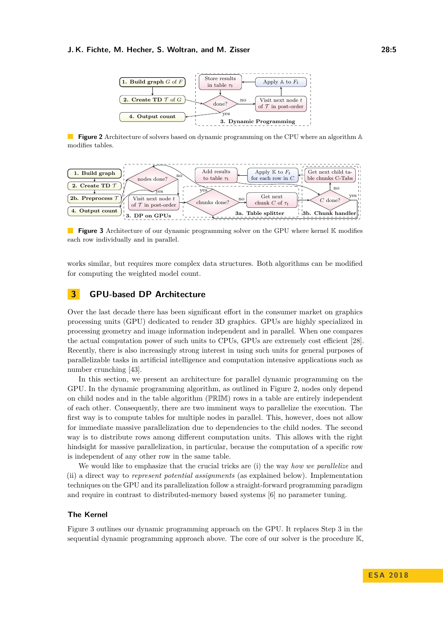#### <span id="page-4-0"></span>**J. K. Fichte, M. Hecher, S. Woltran, and M. Zisser 28:5**



**Figure 2** Architecture of solvers based on dynamic programming on the CPU where an algorithm A modifies tables.

<span id="page-4-1"></span>

**Figure 3** Architecture of our dynamic programming solver on the GPU where kernel K modifies each row individually and in parallel.

works similar, but requires more complex data structures. Both algorithms can be modified for computing the weighted model count.

# **3 GPU-based DP Architecture**

Over the last decade there has been significant effort in the consumer market on graphics processing units (GPU) dedicated to render 3D graphics. GPUs are highly specialized in processing geometry and image information independent and in parallel. When one compares the actual computation power of such units to CPUs, GPUs are extremely cost efficient [\[28\]](#page-14-3). Recently, there is also increasingly strong interest in using such units for general purposes of parallelizable tasks in artificial intelligence and computation intensive applications such as number crunching [\[43\]](#page-15-8).

In this section, we present an architecture for parallel dynamic programming on the GPU. In the dynamic programming algorithm, as outlined in Figure [2,](#page-4-0) nodes only depend on child nodes and in the table algorithm (PRIM) rows in a table are entirely independent of each other. Consequently, there are two imminent ways to parallelize the execution. The first way is to compute tables for multiple nodes in parallel. This, however, does not allow for immediate massive parallelization due to dependencies to the child nodes. The second way is to distribute rows among different computation units. This allows with the right hindsight for massive parallelization, in particular, because the computation of a specific row is independent of any other row in the same table.

We would like to emphasize that the crucial tricks are (i) the way *how we parallelize* and (ii) a direct way to *represent potential assignments* (as explained below). Implementation techniques on the GPU and its parallelization follow a straight-forward programming paradigm and require in contrast to distributed-memory based systems [\[6\]](#page-12-5) no parameter tuning.

#### **The Kernel**

Figure [3](#page-4-1) outlines our dynamic programming approach on the GPU. It replaces Step [3](#page-3-2) in the sequential dynamic programming approach above. The core of our solver is the procedure K,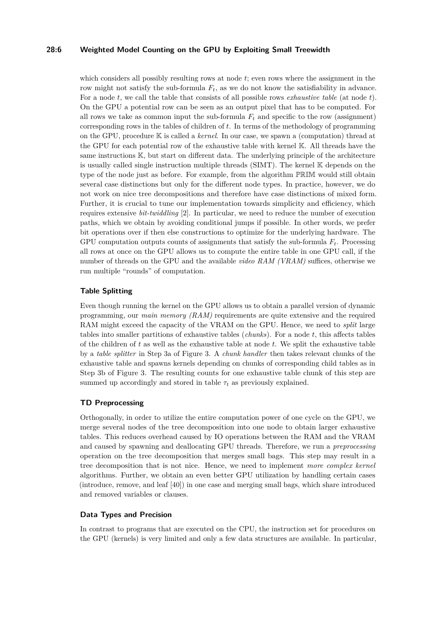#### **28:6 Weighted Model Counting on the GPU by Exploiting Small Treewidth**

which considers all possibly resulting rows at node *t*; even rows where the assignment in the row might not satisfy the sub-formula  $F_t$ , as we do not know the satisfiability in advance. For a node *t*, we call the table that consists of all possible rows *exhaustive table* (at node *t*). On the GPU a potential row can be seen as an output pixel that has to be computed. For all rows we take as common input the sub-formula  $F_t$  and specific to the row (assignment) corresponding rows in the tables of children of *t*. In terms of the methodology of programming on the GPU, procedure K is called a *kernel*. In our case, we spawn a (computation) thread at the GPU for each potential row of the exhaustive table with kernel K. All threads have the same instructions K, but start on different data. The underlying principle of the architecture is usually called single instruction multiple threads (SIMT). The kernel K depends on the type of the node just as before. For example, from the algorithm PRIM would still obtain several case distinctions but only for the different node types. In practice, however, we do not work on nice tree decompositions and therefore have case distinctions of mixed form. Further, it is crucial to tune our implementation towards simplicity and efficiency, which requires extensive *bit-twiddling* [\[2\]](#page-12-9). In particular, we need to reduce the number of execution paths, which we obtain by avoiding conditional jumps if possible. In other words, we prefer bit operations over if then else constructions to optimize for the underlying hardware. The GPU computation outputs counts of assignments that satisfy the sub-formula *Ft*. Processing all rows at once on the GPU allows us to compute the entire table in one GPU call, if the number of threads on the GPU and the available *video RAM (VRAM)* suffices, otherwise we run multiple "rounds" of computation.

#### **Table Splitting**

Even though running the kernel on the GPU allows us to obtain a parallel version of dynamic programming, our *main memory (RAM)* requirements are quite extensive and the required RAM might exceed the capacity of the VRAM on the GPU. Hence, we need to *split* large tables into smaller partitions of exhaustive tables (*chunks*). For a node *t*, this affects tables of the children of *t* as well as the exhaustive table at node *t*. We split the exhaustive table by a *table splitter* in Step [3a](#page-3-2) of Figure [3.](#page-4-1) A *chunk handler* then takes relevant chunks of the exhaustive table and spawns kernels depending on chunks of corresponding child tables as in Step [3b](#page-3-2) of Figure [3.](#page-4-1) The resulting counts for one exhaustive table chunk of this step are summed up accordingly and stored in table  $\tau_t$  as previously explained.

### **TD Preprocessing**

Orthogonally, in order to utilize the entire computation power of one cycle on the GPU, we merge several nodes of the tree decomposition into one node to obtain larger exhaustive tables. This reduces overhead caused by IO operations between the RAM and the VRAM and caused by spawning and deallocating GPU threads. Therefore, we run a *preprocessing* operation on the tree decomposition that merges small bags. This step may result in a tree decomposition that is not nice. Hence, we need to implement *more complex kernel* algorithms. Further, we obtain an even better GPU utilization by handling certain cases (introduce, remove, and leaf [\[40\]](#page-15-4)) in one case and merging small bags, which share introduced and removed variables or clauses.

#### **Data Types and Precision**

In contrast to programs that are executed on the CPU, the instruction set for procedures on the GPU (kernels) is very limited and only a few data structures are available. In particular,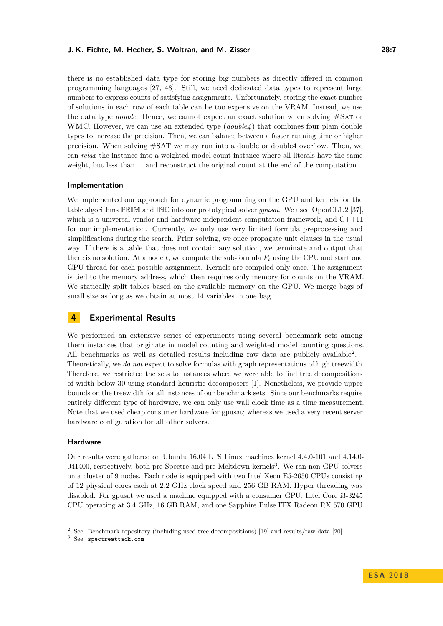#### **J. K. Fichte, M. Hecher, S. Woltran, and M. Zisser 28:7**

there is no established data type for storing big numbers as directly offered in common programming languages [\[27,](#page-14-5) [48\]](#page-15-9). Still, we need dedicated data types to represent large numbers to express counts of satisfying assignments. Unfortunately, storing the exact number of solutions in each row of each table can be too expensive on the VRAM. Instead, we use the data type *double*. Hence, we cannot expect an exact solution when solving #Sat or WMC. However, we can use an extended type (*double4* ) that combines four plain double types to increase the precision. Then, we can balance between a faster running time or higher precision. When solving #SAT we may run into a double or double4 overflow. Then, we can *relax* the instance into a weighted model count instance where all literals have the same weight, but less than 1, and reconstruct the original count at the end of the computation.

#### **Implementation**

We implemented our approach for dynamic programming on the GPU and kernels for the table algorithms PRIM and INC into our prototypical solver *gpusat*. We used OpenCL1.2 [\[37\]](#page-15-10), which is a universal vendor and hardware independent computation framework, and C++11 for our implementation. Currently, we only use very limited formula preprocessing and simplifications during the search. Prior solving, we once propagate unit clauses in the usual way. If there is a table that does not contain any solution, we terminate and output that there is no solution. At a node  $t$ , we compute the sub-formula  $F_t$  using the CPU and start one GPU thread for each possible assignment. Kernels are compiled only once. The assignment is tied to the memory address, which then requires only memory for counts on the VRAM. We statically split tables based on the available memory on the GPU. We merge bags of small size as long as we obtain at most 14 variables in one bag.

### <span id="page-6-0"></span>**4 Experimental Results**

We performed an extensive series of experiments using several benchmark sets among them instances that originate in model counting and weighted model counting questions. All benchmarks as well as detailed results including raw data are publicly available<sup>[2](#page-6-0)</sup>. Theoretically, we *do not* expect to solve formulas with graph representations of high treewidth. Therefore, we restricted the sets to instances where we were able to find tree decompositions of width below 30 using standard heuristic decomposers [\[1\]](#page-12-8). Nonetheless, we provide upper bounds on the treewidth for all instances of our benchmark sets. Since our benchmarks require entirely different type of hardware, we can only use wall clock time as a time measurement. Note that we used cheap consumer hardware for gpusat; whereas we used a very recent server hardware configuration for all other solvers.

#### **Hardware**

Our results were gathered on Ubuntu 16.04 LTS Linux machines kernel 4.4.0-101 and 4.14.0- 041400, respectively, both pre-Spectre and pre-Meltdown kernels<sup>[3](#page-6-1)</sup>. We ran non-GPU solvers on a cluster of 9 nodes. Each node is equipped with two Intel Xeon E5-2650 CPUs consisting of 12 physical cores each at 2.2 GHz clock speed and 256 GB RAM. Hyper threading was disabled. For gpusat we used a machine equipped with a consumer GPU: Intel Core i3-3245 CPU operating at 3.4 GHz, 16 GB RAM, and one Sapphire Pulse ITX Radeon RX 570 GPU

<sup>2</sup> See: Benchmark repository (including used tree decompositions) [\[19\]](#page-13-5) and results/raw data [\[20\]](#page-13-6).

<span id="page-6-1"></span><sup>3</sup> See: [spectreattack.com](https://spectreattack.com/)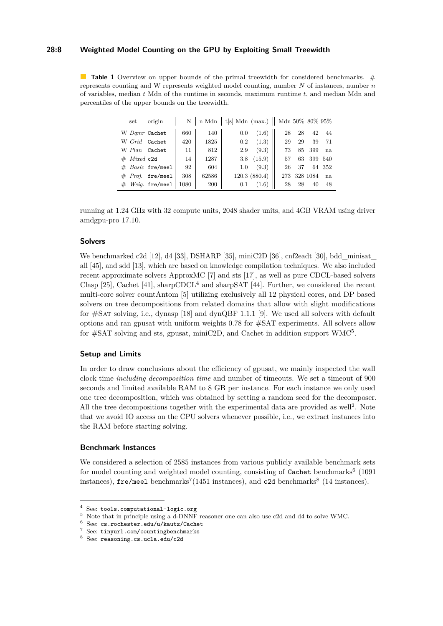#### **28:8 Weighted Model Counting on the GPU by Exploiting Small Treewidth**

<span id="page-7-5"></span>**Table 1** Overview on upper bounds of the primal treewidth for considered benchmarks. # represents counting and W represents weighted model counting, number *N* of instances, number *n* of variables, median *t* Mdn of the runtime in seconds, maximum runtime *t*, and median Mdn and percentiles of the upper bounds on the treewidth.

| set                  | origin                | Ν    | n Mdn | t[s] Mdn (max.)    Mdn 50% 80% 95% |               |     |    |          |     |
|----------------------|-----------------------|------|-------|------------------------------------|---------------|-----|----|----------|-----|
| W Damr Cachet        |                       | 660  | 140   | 0.0                                | (1.6)         | 28  | 28 | 42       | 44  |
| W Grid               | Cachet                | 420  | 1825  | 0.2                                | (1.3)         | 29  | 29 | 39       | 71  |
| W Plan Cachet        |                       | 11   | 812   | 2.9                                | (9.3)         | 73  | 85 | 399      | na  |
| Mixed c2d<br>$_{\#}$ |                       | 14   | 1287  | 3.8                                | (15.9)        | 57  | 63 | 399      | 540 |
| #                    | <i>Basic</i> fre/meel | 92   | 604   | 1.0                                | (9.3)         | 26  | 37 | 64       | 352 |
| #                    | $Proi.$ fre/meel      | 308  | 62586 |                                    | 120.3 (880.4) | 273 |    | 328 1084 | na  |
| $_{\#}$              | Weig. fre/meel        | 1080 | 200   | 0.1                                | (1.6)         | 28  | 28 | 40       | 48  |

running at 1.24 GHz with 32 compute units, 2048 shader units, and 4GB VRAM using driver amdgpu-pro 17.10.

#### **Solvers**

We benchmarked [c2d](http://reasoning.cs.ucla.edu/c2d/download.php) [\[12\]](#page-12-10), [d4](http://www.cril.univ-artois.fr/KC/d4.html) [\[33\]](#page-14-1), [DSHARP](https://bitbucket.org/haz/dsharp) [\[35\]](#page-14-6), [miniC2D](http://reasoning.cs.ucla.edu/minic2d/) [\[36\]](#page-15-11), [cnf2eadt](http://www.cril.univ-artois.fr/KC/eadt.html) [\[30\]](#page-14-7), [bdd\\_minisat\\_](http://www.sd.is.uec.ac.jp/toda/code/cnf2obdd.html) [all](http://www.sd.is.uec.ac.jp/toda/code/cnf2obdd.html) [\[45\]](#page-15-12), and [sdd](http://reasoning.cs.ucla.edu/sdd/) [\[13\]](#page-13-7), which are based on knowledge compilation techniques. We also included recent approximate solvers [ApproxMC](https://bitbucket.org/kuldeepmeel/approxmc) [\[7\]](#page-12-1) and [sts](http://cs.stanford.edu/~ermon/code/STS.zip) [\[17\]](#page-13-8), as well as pure CDCL-based solvers [Clasp](https://github.com/potassco/clasp) [\[25\]](#page-13-9), [Cachet](https://www.cs.rochester.edu/u/kautz/Cachet/cachet-wmc-1-21.zip) [\[41\]](#page-15-6), [sharpCDCL](http://tools.computational-logic.org/content/sharpCDCL.php)<sup>[4](#page-7-0)</sup> and [sharpSAT](https://sites.google.com/site/marcthurley/sharpsat) [\[44\]](#page-15-5). Further, we considered the recent multi-core solver countAntom [\[5\]](#page-12-6) utilizing exclusively all 12 physical cores, and DP based solvers on tree decompositions from related domains that allow with slight modifications for  $\#SAT$  solving, i.e., [dynasp](https://github.com/daajoe/dynasp) [\[18\]](#page-13-10) and [dynQBF 1.1.1](https://github.com/gcharwat/dynqbf/releases/tag/v1.1.1) [\[9\]](#page-12-11). We used all solvers with default options and ran gpusat with uniform weights 0.78 for #SAT experiments. All solvers allow for  $\#SAT$  solving and sts, gpusat, miniC2D, and Cachet in addition support  $WMC^5$  $WMC^5$ .

#### **Setup and Limits**

In order to draw conclusions about the efficiency of gpusat, we mainly inspected the wall clock time *including decomposition time* and number of timeouts. We set a timeout of 900 seconds and limited available RAM to 8 GB per instance. For each instance we only used one tree decomposition, which was obtained by setting a random seed for the decomposer. All the tree decompositions together with the experimental data are provided as well<sup>[2](#page-6-0)</sup>. Note that we avoid IO access on the CPU solvers whenever possible, i.e., we extract instances into the RAM before starting solving.

#### **Benchmark Instances**

We considered a selection of 2585 instances from various publicly available benchmark sets for model counting and weighted model counting, consisting of  $\texttt{Cacheet}$  benchmarks<sup>[6](#page-7-2)</sup> (1091 instances),  $\texttt{fre/mee1}$  benchmarks<sup>[7](#page-7-3)</sup>(1451 instances), and  $\texttt{c2d}$  benchmarks<sup>[8](#page-7-4)</sup> (14 instances).

<span id="page-7-0"></span> $^4\,$  See: [tools.computational-logic.org](http://tools.computational-logic. org/content/sharpCDCL.php)

<span id="page-7-1"></span><sup>5</sup> Note that in principle using a d-DNNF reasoner one can also use c2d and d4 to solve WMC.

<span id="page-7-2"></span><sup>6</sup> See: [cs.rochester.edu/u/kautz/Cachet](https://www.cs.rochester.edu/u/kautz/Cachet/Model_Counting_Benchmarks/index.html)

<span id="page-7-3"></span><sup>7</sup> See: [tinyurl.com/countingbenchmarks](http://tinyurl.com/countingbenchmarks)

<span id="page-7-4"></span><sup>8</sup> See: [reasoning.cs.ucla.edu/c2d](http://reasoning.cs.ucla.edu/c2d/results.html)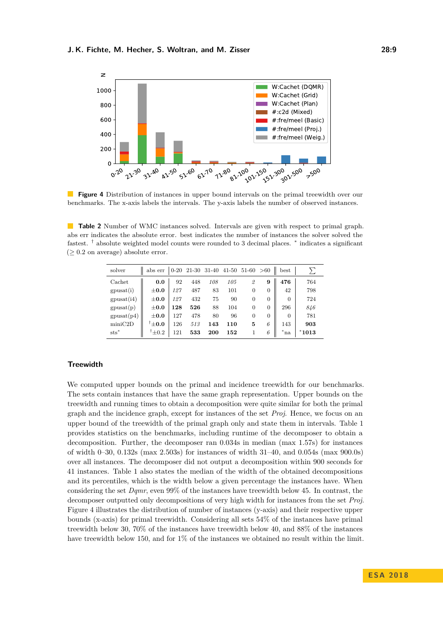<span id="page-8-0"></span>

**Figure 4** Distribution of instances in upper bound intervals on the primal treewidth over our benchmarks. The x-axis labels the intervals. The y-axis labels the number of observed instances.

<span id="page-8-1"></span> $\blacksquare$ **Table 2** Number of WMC instances solved. Intervals are given with respect to primal graph. abs err indicates the absolute error. best indicates the number of instances the solver solved the fastest. <sup>†</sup> absolute weighted model counts were rounded to 3 decimal places. <sup>\*</sup> indicates a significant  $(≥ 0.2$  on average) absolute error.

| solver           | abs err           |     |     |     |     |          | >60            | best     |         |
|------------------|-------------------|-----|-----|-----|-----|----------|----------------|----------|---------|
| Cachet           | 0.0               | 92  | 448 | 108 | 105 | 2        | 9              | 476      | 764     |
| $g$ pusat $(i)$  | $+0.0$            | 127 | 487 | 83  | 101 | $\Omega$ | $\theta$       | 42       | 798     |
| $g$ pusat $(i4)$ | $+0.0$            | 127 | 432 | 75  | 90  | $\Omega$ | $\theta$       | $\Omega$ | 724     |
| $g$ pusat $(p)$  | $+0.0$            | 128 | 526 | 88  | 104 | 0        | $\theta$       | 296      | 846     |
| $g$ pusat $(p4)$ | $+0.0$            | 127 | 478 | 80  | 96  | $\Omega$ | $\overline{0}$ | $\Omega$ | 781     |
| minC2D           | $^{\dagger}$ ±0.0 | 126 | 513 | 143 | 110 | 5        | 6              | 143      | 903     |
| $sts^*$          | $^{\dagger}$ ±0.2 | 121 | 533 | 200 | 152 |          | 6              | $^*$ na  | $*1013$ |

### **Treewidth**

We computed upper bounds on the primal and incidence treewidth for our benchmarks. The sets contain instances that have the same graph representation. Upper bounds on the treewidth and running times to obtain a decomposition were quite similar for both the primal graph and the incidence graph, except for instances of the set *Proj*. Hence, we focus on an upper bound of the treewidth of the primal graph only and state them in intervals. Table [1](#page-7-5) provides statistics on the benchmarks, including runtime of the decomposer to obtain a decomposition. Further, the decomposer ran 0.034s in median (max 1.57s) for instances of width 0–30, 0.132s (max 2.503s) for instances of width 31–40, and 0.054s (max 900.0s) over all instances. The decomposer did not output a decomposition within 900 seconds for 41 instances. Table [1](#page-7-5) also states the median of the width of the obtained decompositions and its percentiles, which is the width below a given percentage the instances have. When considering the set *Dqmr*, even 99% of the instances have treewidth below 45. In contrast, the decomposer outputted only decompositions of very high width for instances from the set *Proj*. Figure [4](#page-8-0) illustrates the distribution of number of instances (y-axis) and their respective upper bounds (x-axis) for primal treewidth. Considering all sets 54% of the instances have primal treewidth below 30, 70% of the instances have treewidth below 40, and 88% of the instances have treewidth below 150, and for  $1\%$  of the instances we obtained no result within the limit.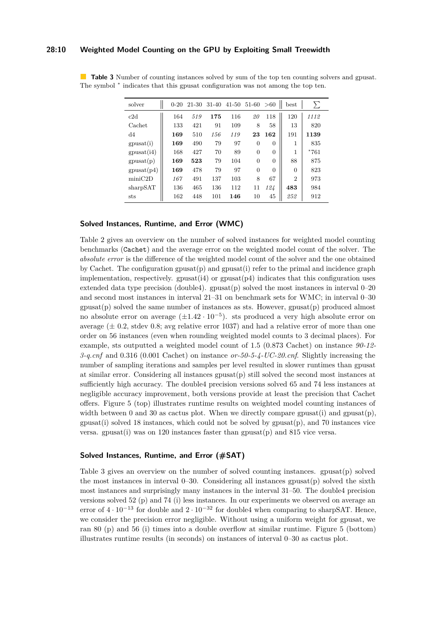#### **28:10 Weighted Model Counting on the GPU by Exploiting Small Treewidth**

| solver           | $0 - 20$ | 21-30 | $31 - 40$ | $41 - 50$ | $51-60 > 60$ |          | best           | Σ      |
|------------------|----------|-------|-----------|-----------|--------------|----------|----------------|--------|
| c2d              | 164      | 519   | 175       | 116       | 20           | 118      | 120            | 1112   |
| Cachet           | 133      | 421   | 91        | 109       | 8            | 58       | 13             | 820    |
| d4               | 169      | 510   | 156       | 119       | 23           | 162      | 191            | 1139   |
| $g$ pusat $(i)$  | 169      | 490   | 79        | 97        | $\Omega$     | $\theta$ | 1              | 835    |
| $g$ pusat $(i4)$ | 168      | 427   | 70        | 89        | $\Omega$     | $\theta$ | 1              | $*761$ |
| gpusat(p)        | 169      | 523   | 79        | 104       | $\Omega$     | $\theta$ | 88             | 875    |
| $g$ pusat $(p4)$ | 169      | 478   | 79        | 97        | $\Omega$     | $\theta$ | $\Omega$       | 823    |
| minC2D           | 167      | 491   | 137       | 103       | 8            | 67       | $\overline{2}$ | 973    |
| sharpSAT         | 136      | 465   | 136       | 112       | 11           | 124      | 483            | 984    |
| sts              | 162      | 448   | 101       | 146       | 10           | 45       | 252            | 912    |

<span id="page-9-0"></span>**Table 3** Number of counting instances solved by sum of the top ten counting solvers and gpusat. The symbol  $*$  indicates that this gpusat configuration was not among the top ten.

#### **Solved Instances, Runtime, and Error (WMC)**

Table [2](#page-8-1) gives an overview on the number of solved instances for weighted model counting benchmarks (Cachet) and the average error on the weighted model count of the solver. The *absolute error* is the difference of the weighted model count of the solver and the one obtained by Cachet. The configuration gpusat $(p)$  and gpusat $(i)$  refer to the primal and incidence graph implementation, respectively.  $g$ pusat(i4) or  $g$ pusat( $p4$ ) indicates that this configuration uses extended data type precision (double4). gpusat(p) solved the most instances in interval  $0-20$ and second most instances in interval 21–31 on benchmark sets for WMC; in interval 0–30  $g$ pusat(p) solved the same number of instances as sts. However,  $g$ pusat(p) produced almost no absolute error on average (±1*.*42 · 10<sup>−</sup><sup>5</sup> ). sts produced a very high absolute error on average  $(\pm 0.2, \text{stdev } 0.8; \text{avg relative error } 1037)$  and had a relative error of more than one order on 56 instances (even when rounding weighted model counts to 3 decimal places). For example, sts outputted a weighted model count of 1.5 (0.873 Cachet) on instance *90-12- 3-q.cnf* and 0.316 (0.001 Cachet) on instance *or-50-5-4-UC-20.cnf*. Slightly increasing the number of sampling iterations and samples per level resulted in slower runtimes than gpusat at similar error. Considering all instances  $g$ pusat $(p)$  still solved the second most instances at sufficiently high accuracy. The double4 precision versions solved 65 and 74 less instances at negligible accuracy improvement, both versions provide at least the precision that Cachet offers. Figure [5](#page-10-0) (top) illustrates runtime results on weighted model counting instances of width between 0 and 30 as cactus plot. When we directly compare gpusat(i) and gpusat(p),  $g$ pusat(i) solved 18 instances, which could not be solved by  $g$ pusat $(p)$ , and 70 instances vice versa. gpusat $(i)$  was on 120 instances faster than gpusat $(p)$  and 815 vice versa.

#### **Solved Instances, Runtime, and Error (#SAT)**

Table [3](#page-9-0) gives an overview on the number of solved counting instances. gpusat(p) solved the most instances in interval  $0-30$ . Considering all instances gpusat(p) solved the sixth most instances and surprisingly many instances in the interval 31–50. The double4 precision versions solved 52 (p) and 74 (i) less instances. In our experiments we observed on average an error of  $4 \cdot 10^{-13}$  for double and  $2 \cdot 10^{-32}$  for double4 when comparing to sharpSAT. Hence, we consider the precision error negligible. Without using a uniform weight for gpusat, we ran 80 (p) and 56 (i) times into a double overflow at similar runtime. Figure [5](#page-10-0) (bottom) illustrates runtime results (in seconds) on instances of interval 0–30 as cactus plot.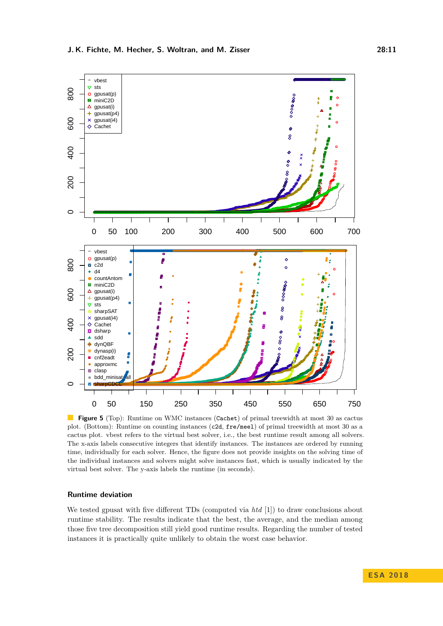<span id="page-10-0"></span>

**Figure 5** (Top): Runtime on WMC instances (Cachet) of primal treewidth at most 30 as cactus plot. (Bottom): Runtime on counting instances (c2d, fre/meel) of primal treewidth at most 30 as a cactus plot. vbest refers to the virtual best solver, i.e., the best runtime result among all solvers. The x-axis labels consecutive integers that identify instances. The instances are ordered by running time, individually for each solver. Hence, the figure does not provide insights on the solving time of the individual instances and solvers might solve instances fast, which is usually indicated by the virtual best solver. The y-axis labels the runtime (in seconds).

#### **Runtime deviation**

We tested gpusat with five different TDs (computed via *htd* [\[1\]](#page-12-8)) to draw conclusions about runtime stability. The results indicate that the best, the average, and the median among those five tree decomposition still yield good runtime results. Regarding the number of tested instances it is practically quite unlikely to obtain the worst case behavior.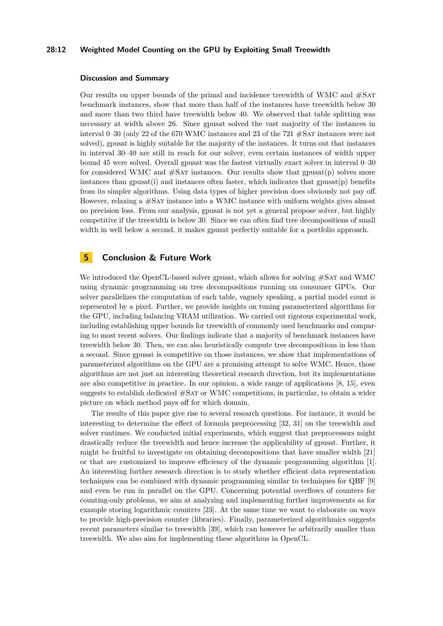#### **28:12 Weighted Model Counting on the GPU by Exploiting Small Treewidth**

#### **Discussion and Summary**

Our results on upper bounds of the primal and incidence treewidth of WMC and #Sat benchmark instances, show that more than half of the instances have treewidth below 30 and more than two third have treewidth below 40. We observed that table splitting was necessary at width above 26. Since gpusat solved the vast majority of the instances in interval 0–30 (only 22 of the 670 WMC instances and 23 of the 721 #Sat instances were not solved), gpusat is highly suitable for the majority of the instances. It turns out that instances in interval 30–40 are still in reach for our solver, even certain instances of width upper bound 45 were solved. Overall gpusat was the fastest virtually exact solver in interval 0–30 for considered WMC and  $\#SAT$  instances. Our results show that gpusat(p) solves more instances than gpusat(i) and instances often faster, which indicates that  $g$ pusat(p) benefits from its simpler algorithms. Using data types of higher precision does obviously not pay off. However, relaxing a #Sat instance into a WMC instance with uniform weights gives almost no precision loss. From our analysis, gpusat is not yet a general propose solver, but highly competitive if the treewidth is below 30. Since we can often find tree decompositions of small width in well below a second, it makes gpusat perfectly suitable for a portfolio approach.

# **5 Conclusion & Future Work**

We introduced the OpenCL-based solver gpusat, which allows for solving  $\#SAT$  and WMC using dynamic programming on tree decompositions running on consumer GPUs. Our solver parallelizes the computation of each table, vaguely speaking, a partial model count is represented by a pixel. Further, we provide insights on tuning parameterized algorithms for the GPU, including balancing VRAM utilization. We carried out rigorous experimental work, including establishing upper bounds for treewidth of commonly used benchmarks and comparing to most recent solvers. Our findings indicate that a majority of benchmark instances have treewidth below 30. Then, we can also heuristically compute tree decompositions in less than a second. Since gpusat is competitive on those instances, we show that implementations of parameterized algorithms on the GPU are a promising attempt to solve WMC. Hence, those algorithms are not just an interesting theoretical research direction, but its implementations are also competitive in practice. In our opinion, a wide range of applications [\[8,](#page-12-2) [15\]](#page-13-1), even suggests to establish dedicated #Sat or WMC competitions, in particular, to obtain a wider picture on which method pays off for which domain.

The results of this paper give rise to several research questions. For instance, it would be interesting to determine the effect of formula preprocessing [\[32,](#page-14-8) [31\]](#page-14-9) on the treewidth and solver runtimes. We conducted initial experiments, which suggest that preprocessors might drastically reduce the treewidth and hence increase the applicability of gpusat. Further, it might be fruitful to investigate on obtaining decompositions that have smaller width [\[21\]](#page-13-11) or that are customized to improve efficiency of the dynamic programming algorithm [\[1\]](#page-12-8). An interesting further research direction is to study whether efficient data representation techniques can be combined with dynamic programming similar to techniques for QBF [\[9\]](#page-12-11) and even be run in parallel on the GPU. Concerning potential overflows of counters for counting-only problems, we aim at analyzing and implementing further improvements as for example storing logarithmic counters [\[23\]](#page-13-12). At the same time we want to elaborate on ways to provide high-precision counter (libraries). Finally, parameterized algorithmics suggests recent parameters similar to treewidth [\[39\]](#page-15-13), which can however be arbitrarily smaller than treewidth. We also aim for implementing these algorithms in OpenCL.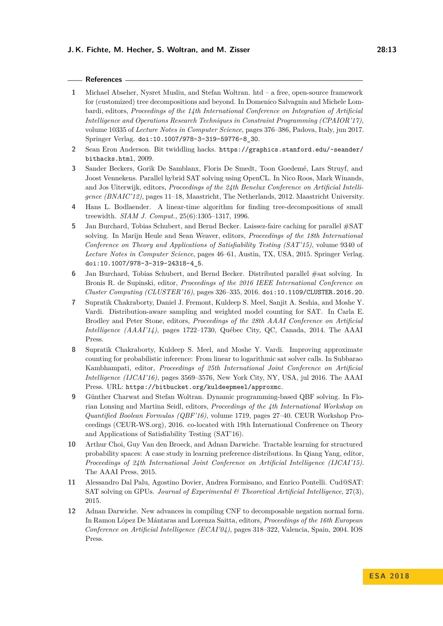#### **References**

- <span id="page-12-8"></span>**1** Michael Abseher, Nysret Musliu, and Stefan Woltran. htd – a free, open-source framework for (customized) tree decompositions and beyond. In Domenico Salvagnin and Michele Lombardi, editors, *Proceedings of the 14th International Conference on Integration of Artificial Intelligence and Operations Research Techniques in Constraint Programming (CPAIOR'17)*, volume 10335 of *Lecture Notes in Computer Science*, pages 376–386, Padova, Italy, jun 2017. Springer Verlag. [doi:10.1007/978-3-319-59776-8\\_30](http://dx.doi.org/10.1007/978-3-319-59776-8_30).
- <span id="page-12-9"></span>**2** Sean Eron Anderson. Bit twiddling hacks. [https://graphics.stanford.edu/~seander/](https://graphics.stanford.edu/~seander/bithacks.html) [bithacks.html](https://graphics.stanford.edu/~seander/bithacks.html), 2009.
- <span id="page-12-4"></span>**3** Sander Beckers, Gorik De Samblanx, Floris De Smedt, Toon Goedemé, Lars Struyf, and Joost Vennekens. Parallel hybrid SAT solving using OpenCL. In Nico Roos, Mark Winands, and Jos Uiterwijk, editors, *Proceedings of the 24th Benelux Conference on Artificial Intelligence (BNAIC'12)*, pages 11–18, Maastricht, The Netherlands, 2012. Maastricht University.
- <span id="page-12-7"></span>**4** Hans L. Bodlaender. A linear-time algorithm for finding tree-decompositions of small treewidth. *SIAM J. Comput.*, 25(6):1305–1317, 1996.
- <span id="page-12-6"></span>**5** Jan Burchard, Tobias Schubert, and Bernd Becker. Laissez-faire caching for parallel #SAT solving. In Marijn Heule and Sean Weaver, editors, *Proceedings of the 18th International Conference on Theory and Applications of Satisfiability Testing (SAT'15)*, volume 9340 of *Lecture Notes in Computer Science*, pages 46–61, Austin, TX, USA, 2015. Springer Verlag. [doi:10.1007/978-3-319-24318-4\\_5](http://dx.doi.org/10.1007/978-3-319-24318-4_5).
- <span id="page-12-5"></span>**6** Jan Burchard, Tobias Schubert, and Bernd Becker. Distributed parallel #sat solving. In Bronis R. de Supinski, editor, *Proceedings of the 2016 IEEE International Conference on Cluster Computing (CLUSTER'16)*, pages 326–335, 2016. [doi:10.1109/CLUSTER.2016.20](http://dx.doi.org/10.1109/CLUSTER.2016.20).
- <span id="page-12-1"></span>**7** Supratik Chakraborty, Daniel J. Fremont, Kuldeep S. Meel, Sanjit A. Seshia, and Moshe Y. Vardi. Distribution-aware sampling and weighted model counting for SAT. In Carla E. Brodley and Peter Stone, editors, *Proceedings of the 28th AAAI Conference on Artificial Intelligence (AAAI'14)*, pages 1722–1730, Québec City, QC, Canada, 2014. The AAAI Press.
- <span id="page-12-2"></span>**8** Supratik Chakraborty, Kuldeep S. Meel, and Moshe Y. Vardi. Improving approximate counting for probabilistic inference: From linear to logarithmic sat solver calls. In Subbarao Kambhampati, editor, *Proceedings of 25th International Joint Conference on Artificial Intelligence (IJCAI'16)*, pages 3569–3576, New York City, NY, USA, jul 2016. The AAAI Press. URL: <https://bitbucket.org/kuldeepmeel/approxmc>.
- <span id="page-12-11"></span>**9** Günther Charwat and Stefan Woltran. Dynamic programming-based QBF solving. In Florian Lonsing and Martina Seidl, editors, *Proceedings of the 4th International Workshop on Quantified Boolean Formulas (QBF'16)*, volume 1719, pages 27–40. CEUR Workshop Proceedings (CEUR-WS.org), 2016. co-located with 19th International Conference on Theory and Applications of Satisfiability Testing (SAT'16).
- <span id="page-12-0"></span>**10** Arthur Choi, Guy Van den Broeck, and Adnan Darwiche. Tractable learning for structured probability spaces: A case study in learning preference distributions. In Qiang Yang, editor, *Proceedings of 24th International Joint Conference on Artificial Intelligence (IJCAI'15)*. The AAAI Press, 2015.
- <span id="page-12-3"></span>**11** Alessandro Dal Palu, Agostino Dovier, Andrea Formisano, and Enrico Pontelli. Cud@SAT: SAT solving on GPUs. *Journal of Experimental & Theoretical Artificial Intelligence*, 27(3), 2015.
- <span id="page-12-10"></span>**12** Adnan Darwiche. New advances in compiling CNF to decomposable negation normal form. In Ramon López De Mántaras and Lorenza Saitta, editors, *Proceedings of the 16th European Conference on Artificial Intelligence (ECAI'04)*, pages 318–322, Valencia, Spain, 2004. IOS Press.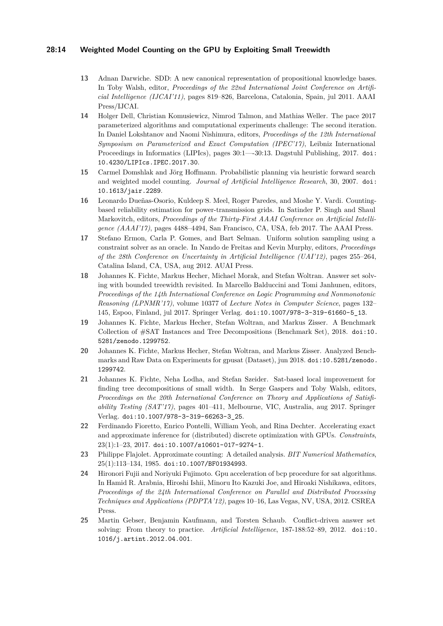### **28:14 Weighted Model Counting on the GPU by Exploiting Small Treewidth**

- <span id="page-13-7"></span>**13** Adnan Darwiche. SDD: A new canonical representation of propositional knowledge bases. In Toby Walsh, editor, *Proceedings of the 22nd International Joint Conference on Artificial Intelligence (IJCAI'11)*, pages 819–826, Barcelona, Catalonia, Spain, jul 2011. AAAI Press/IJCAI.
- <span id="page-13-2"></span>**14** Holger Dell, Christian Komusiewicz, Nimrod Talmon, and Mathias Weller. The pace 2017 parameterized algorithms and computational experiments challenge: The second iteration. In Daniel Lokshtanov and Naomi Nishimura, editors, *Proceedings of the 12th International Symposium on Parameterized and Exact Computation (IPEC'17)*, Leibniz International Proceedings in Informatics (LIPIcs), pages 30:1—-30:13. Dagstuhl Publishing, 2017. [doi:](http://dx.doi.org/10.4230/LIPIcs.IPEC.2017.30) [10.4230/LIPIcs.IPEC.2017.30](http://dx.doi.org/10.4230/LIPIcs.IPEC.2017.30).
- <span id="page-13-1"></span>**15** Carmel Domshlak and Jörg Hoffmann. Probabilistic planning via heuristic forward search and weighted model counting. *Journal of Artificial Intelligence Research*, 30, 2007. [doi:](http://dx.doi.org/10.1613/jair.2289) [10.1613/jair.2289](http://dx.doi.org/10.1613/jair.2289).
- <span id="page-13-0"></span>**16** Leonardo Dueñas-Osorio, Kuldeep S. Meel, Roger Paredes, and Moshe Y. Vardi. Countingbased reliability estimation for power-transmission grids. In Satinder P. Singh and Shaul Markovitch, editors, *Proceedings of the Thirty-First AAAI Conference on Artificial Intelligence (AAAI'17)*, pages 4488–4494, San Francisco, CA, USA, feb 2017. The AAAI Press.
- <span id="page-13-8"></span>**17** Stefano Ermon, Carla P. Gomes, and Bart Selman. Uniform solution sampling using a constraint solver as an oracle. In Nando de Freitas and Kevin Murphy, editors, *Proceedings of the 28th Conference on Uncertainty in Artificial Intelligence (UAI'12)*, pages 255–264, Catalina Island, CA, USA, aug 2012. AUAI Press.
- <span id="page-13-10"></span>**18** Johannes K. Fichte, Markus Hecher, Michael Morak, and Stefan Woltran. Answer set solving with bounded treewidth revisited. In Marcello Balduccini and Tomi Janhunen, editors, *Proceedings of the 14th International Conference on Logic Programming and Nonmonotonic Reasoning (LPNMR'17)*, volume 10377 of *Lecture Notes in Computer Science*, pages 132– 145, Espoo, Finland, jul 2017. Springer Verlag. [doi:10.1007/978-3-319-61660-5\\_13](http://dx.doi.org/10.1007/978-3-319-61660-5_13).
- <span id="page-13-5"></span>**19** Johannes K. Fichte, Markus Hecher, Stefan Woltran, and Markus Zisser. A Benchmark Collection of #SAT Instances and Tree Decompositions (Benchmark Set), 2018. [doi:10.](http://dx.doi.org/10.5281/zenodo.1299752) [5281/zenodo.1299752](http://dx.doi.org/10.5281/zenodo.1299752).
- <span id="page-13-6"></span>**20** Johannes K. Fichte, Markus Hecher, Stefan Woltran, and Markus Zisser. Analyzed Benchmarks and Raw Data on Experiments for gpusat (Dataset), jun 2018. [doi:10.5281/zenodo.](http://dx.doi.org/10.5281/zenodo.1299742) [1299742](http://dx.doi.org/10.5281/zenodo.1299742).
- <span id="page-13-11"></span>**21** Johannes K. Fichte, Neha Lodha, and Stefan Szeider. Sat-based local improvement for finding tree decompositions of small width. In Serge Gaspers and Toby Walsh, editors, *Proceedings on the 20th International Conference on Theory and Applications of Satisfiability Testing (SAT'17)*, pages 401–411, Melbourne, VIC, Australia, aug 2017. Springer Verlag. [doi:10.1007/978-3-319-66263-3\\_25](http://dx.doi.org/10.1007/978-3-319-66263-3_25).
- <span id="page-13-3"></span>**22** Ferdinando Fioretto, Enrico Pontelli, William Yeoh, and Rina Dechter. Accelerating exact and approximate inference for (distributed) discrete optimization with GPUs. *Constraints*, 23(1):1–23, 2017. [doi:10.1007/s10601-017-9274-1](http://dx.doi.org/10.1007/s10601-017-9274-1).
- <span id="page-13-12"></span>**23** Philippe Flajolet. Approximate counting: A detailed analysis. *BIT Numerical Mathematics*, 25(1):113–134, 1985. [doi:10.1007/BF01934993](http://dx.doi.org/10.1007/BF01934993).
- <span id="page-13-4"></span>**24** Hironori Fujii and Noriyuki Fujimoto. Gpu acceleration of bcp procedure for sat algorithms. In Hamid R. Arabnia, Hiroshi Ishii, Minoru Ito Kazuki Joe, and Hiroaki Nishikawa, editors, *Proceedings of the 24th International Conference on Parallel and Distributed Processing Techniques and Applications (PDPTA'12)*, pages 10–16, Las Vegas, NV, USA, 2012. CSREA Press.
- <span id="page-13-9"></span>**25** Martin Gebser, Benjamin Kaufmann, and Torsten Schaub. Conflict-driven answer set solving: From theory to practice. *Artificial Intelligence*, 187-188:52–89, 2012. [doi:10.](http://dx.doi.org/10.1016/j.artint.2012.04.001) [1016/j.artint.2012.04.001](http://dx.doi.org/10.1016/j.artint.2012.04.001).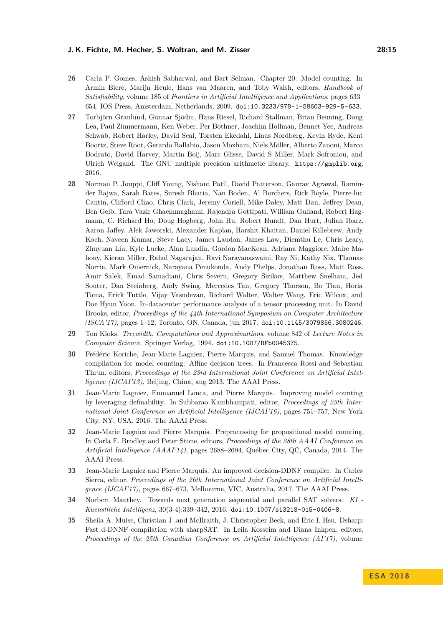#### **J. K. Fichte, M. Hecher, S. Woltran, and M. Zisser 28:15**

- <span id="page-14-0"></span>**26** Carla P. Gomes, Ashish Sabharwal, and Bart Selman. Chapter 20: Model counting. In Armin Biere, Marijn Heule, Hans van Maaren, and Toby Walsh, editors, *Handbook of Satisfiability*, volume 185 of *Frontiers in Artificial Intelligence and Applications*, pages 633– 654. IOS Press, Amsterdam, Netherlands, 2009. [doi:10.3233/978-1-58603-929-5-633](http://dx.doi.org/10.3233/978-1-58603-929-5-633).
- <span id="page-14-5"></span>**27** Torbjörn Granlund, Gunnar Sjödin, Hans Riesel, Richard Stallman, Brian Beuning, Doug Lea, Paul Zimmermann, Ken Weber, Per Bothner, Joachim Hollman, Bennet Yee, Andreas Schwab, Robert Harley, David Seal, Torsten Ekedahl, Linus Nordberg, Kevin Ryde, Kent Boortz, Steve Root, Gerardo Ballabio, Jason Moxham, Niels Möller, Alberto Zanoni, Marco Bodrato, David Harvey, Martin Boij, Marc Glisse, David S Miller, Mark Sofroniou, and Ulrich Weigand. The GNU multiple precision arithmetic library. <https://gmplib.org>, 2016.
- <span id="page-14-3"></span>**28** Norman P. Jouppi, Cliff Young, Nishant Patil, David Patterson, Gaurav Agrawal, Raminder Bajwa, Sarah Bates, Suresh Bhatia, Nan Boden, Al Borchers, Rick Boyle, Pierre-luc Cantin, Clifford Chao, Chris Clark, Jeremy Coriell, Mike Daley, Matt Dau, Jeffrey Dean, Ben Gelb, Tara Vazir Ghaemmaghami, Rajendra Gottipati, William Gulland, Robert Hagmann, C. Richard Ho, Doug Hogberg, John Hu, Robert Hundt, Dan Hurt, Julian Ibarz, Aaron Jaffey, Alek Jaworski, Alexander Kaplan, Harshit Khaitan, Daniel Killebrew, Andy Koch, Naveen Kumar, Steve Lacy, James Laudon, James Law, Diemthu Le, Chris Leary, Zhuyuan Liu, Kyle Lucke, Alan Lundin, Gordon MacKean, Adriana Maggiore, Maire Mahony, Kieran Miller, Rahul Nagarajan, Ravi Narayanaswami, Ray Ni, Kathy Nix, Thomas Norrie, Mark Omernick, Narayana Penukonda, Andy Phelps, Jonathan Ross, Matt Ross, Amir Salek, Emad Samadiani, Chris Severn, Gregory Sizikov, Matthew Snelham, Jed Souter, Dan Steinberg, Andy Swing, Mercedes Tan, Gregory Thorson, Bo Tian, Horia Toma, Erick Tuttle, Vijay Vasudevan, Richard Walter, Walter Wang, Eric Wilcox, and Doe Hyun Yoon. In-datacenter performance analysis of a tensor processing unit. In David Brooks, editor, *Proceedings of the 44th International Symposium on Computer Architecture (ISCA'17)*, pages 1–12, Toronto, ON, Canada, jun 2017. [doi:10.1145/3079856.3080246](http://dx.doi.org/10.1145/3079856.3080246).
- <span id="page-14-4"></span>**29** Ton Kloks. *Treewidth. Computations and Approximations*, volume 842 of *Lecture Notes in Computer Science*. Springer Verlag, 1994. [doi:10.1007/BFb0045375](http://dx.doi.org/10.1007/BFb0045375).
- <span id="page-14-7"></span>**30** Frédéric Koriche, Jean-Marie Lagniez, Pierre Marquis, and Samuel Thomas. Knowledge compilation for model counting: Affine decision trees. In Francesca Rossi and Sebastian Thrun, editors, *Proceedings of the 23rd International Joint Conference on Artificial Intelligence (IJCAI'13)*, Beijing, China, aug 2013. The AAAI Press.
- <span id="page-14-9"></span>**31** Jean-Marie Lagniez, Emmanuel Lonca, and Pierre Marquis. Improving model counting by leveraging definability. In Subbarao Kambhampati, editor, *Proceedings of 25th International Joint Conference on Artificial Intelligence (IJCAI'16)*, pages 751–757, New York City, NY, USA, 2016. The AAAI Press.
- <span id="page-14-8"></span>**32** Jean-Marie Lagniez and Pierre Marquis. Preprocessing for propositional model counting. In Carla E. Brodley and Peter Stone, editors, *Proceedings of the 28th AAAI Conference on Artificial Intelligence (AAAI'14)*, pages 2688–2694, Québec City, QC, Canada, 2014. The AAAI Press.
- <span id="page-14-1"></span>**33** Jean-Marie Lagniez and Pierre Marquis. An improved decision-DDNF compiler. In Carles Sierra, editor, *Proceedings of the 26th International Joint Conference on Artificial Intelligence (IJCAI'17)*, pages 667–673, Melbourne, VIC, Australia, 2017. The AAAI Press.
- <span id="page-14-2"></span>**34** Norbert Manthey. Towards next generation sequential and parallel SAT solvers. *KI - Kuenstliche Intelligenz*, 30(3-4):339–342, 2016. [doi:10.1007/s13218-015-0406-8](http://dx.doi.org/10.1007/s13218-015-0406-8).
- <span id="page-14-6"></span>**35** Sheila A. Muise, Christian J .and McIlraith, J. Christopher Beck, and Eric I. Hsu. Dsharp: Fast d-DNNF compilation with sharpSAT. In Leila Kosseim and Diana Inkpen, editors, *Proceedings of the 25th Canadian Conference on Artificial Intelligence (AI'17)*, volume